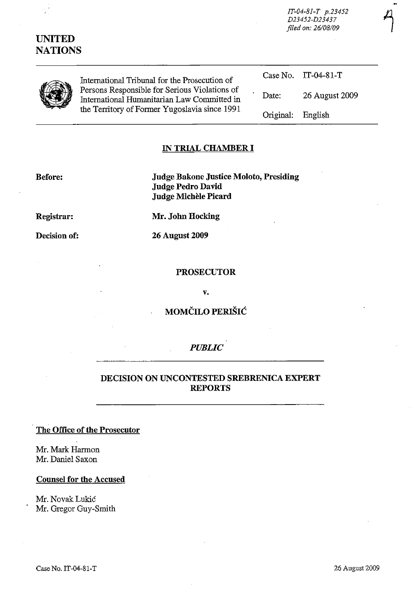| <b>UNITED</b><br><b>NATIONS</b> |                                                                                                                                               |           |                |  |
|---------------------------------|-----------------------------------------------------------------------------------------------------------------------------------------------|-----------|----------------|--|
|                                 | International Tribunal for the Prosecution of                                                                                                 | Case No.  | IT-04-81-T     |  |
|                                 | Persons Responsible for Serious Violations of<br>International Humanitarian Law Committed in<br>the Territory of Former Yugoslavia since 1991 | Date:     | 26 August 2009 |  |
|                                 |                                                                                                                                               | Original: | English        |  |

#### **IN TRIAL CHAMBER I**

| <b>Before:</b> |  |
|----------------|--|
|                |  |

**Before: Judge Bakone Justice Moloto, Presiding Judge Pedro David Judge Michele Picard** 

**Registrar: Mr. John Hocking** 

**Decision of: 26 August 2009** 

#### **PROSECUTOR**

v.

# **MOMCILO PEruSlC**

#### *PUBLIC*

### **DECISION ON UNCONTESTED SREBRENICA EXPERT REPORTS**

## **The Office of the Prosecutor**

Mr. Mark Harmon Mr. Daniel Saxon

#### **Counsel for the Accused**

Mr. Novak Lukic Mr. Gregor Guy-Smith *IT-04-8I-T p.23452* 4 *D23452-D23437* 

*filed on: 26108109*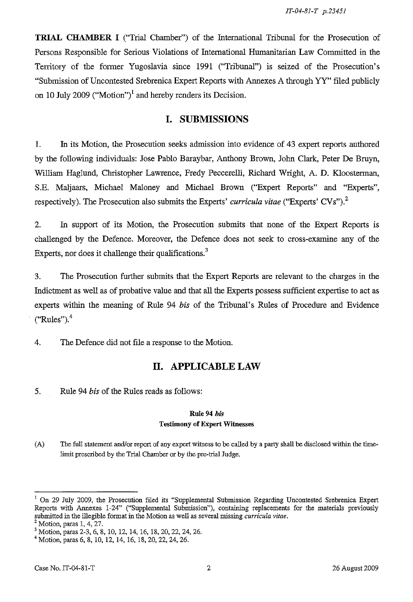**TRIAL** CHAMBER I ("Trial Chamber") of the International Tribunal for the Prosecution of Persons Responsible for Serious Violations of International Humanitarian Law Committed in the Territory of the former Yugoslavia since 1991 ("Tribunal") is seized of the Prosecution's "Submission of Uncontested Srebrenica Expert Reports with Annexes A through YY" filed publicly on 10 July 2009 ("Motion")<sup>1</sup> and hereby renders its Decision.

# **I. SUBMISSIONS**

1. In its Motion, the Prosecution seeks admission into evidence of 43 expert reports authored by the following individuals: Jose Pablo Baraybar, Anthony Brown, John Clark, Peter De Bruyn, William Haglund, Christopher Lawrence, Fredy Peccerelli, Richard Wright, A. D. Kloosterman, S.E. Maljaars, Michael Maloney and Michael Brown ("Expert Reports" and "Experts", respectively). The Prosecution also submits the Experts' *curricula vitae* ("Experts' CVs")?

2. In support of its Motion, the Prosecution submits that none of the Expert Reports is challenged by the Defence. Moreover, the Defence does not seek to cross-examine any of the Experts, nor does it challenge their qualifications.<sup>3</sup>

3. The Prosecution further submits that the Expert Reports are relevant to the charges in the Indictment as well as of probative value and that all the Experts possess sufficient expertise to act as experts within the meaning of Rule 94 *his* of the Tribunal's Rules of Procedure and Evidence  $("Rules").<sup>4</sup>$ 

4. The Defence did not file a response to the Motion.

# **II. APPLICABLE LAW**

5. Rule 94 *his* of the Rules reads as follows:

## Rule 94 *bis*  Testimony of Expert Witnesses

(A) The full statement and/or report of any expert witness to be called by a party shall be disclosed within the timelimit prescribed by the Trial Chamber or by the pre-trial Judge.

 $<sup>1</sup>$  On 29 July 2009, the Prosecution filed its "Supplemental Submission Regarding Uncontested Srebrenica Expert</sup> Reports with Annexes 1-24" ("Supplemental Submission"), containing replacements for the materials previously submitted in the illegible format in the Motion as well as several missing *curricula vitae.* 

 $<sup>2</sup>$  Motion, paras 1, 4, 27.</sup>

<sup>3</sup> Motion, paras 2-3, 6, 8, 10, 12, 14, 16, 18,20,22,24,26.

<sup>4</sup> Motion, paras 6, 8, 10, 12, 14, 16, 18,20,22,24,26.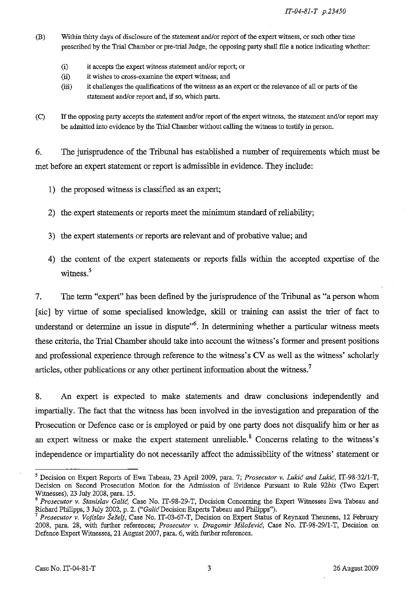*IT-04-8J-T p.23450* 

- (B) Within thirty days of disclosure of the statement and/or report of the expert witness, or such other time prescribed by the Trial Chamber or pre-trial Judge, the opposing party shall file a notice indicating whether:
	- (i) it accepts the expert witness statement and/or report; or
	- (ii) it wishes to cross-examine the expert witness; and
	- (iii) it challenges the qualifications of the witness as an expert or the relevance of all or parts of the statement and/or report and, if so, which parts.
- (C) If the opposing party accepts the statement and/or report of the expert witness, the statement and/or report may be admitted into evidence by the Trial Chamber without calling the witness to testify in person.

6. The jurisprudence of the Tribunal has established a number of requirements which must be met before an expert statement or report is admissible in evidence. They include:

- 1) the proposed witness is classified as an expert;
- 2) the expert statements or reports meet the minimum standard of reliability;
- 3) the expert statements or reports are relevant and of probative value; and
- 4) the content of the expert statements or reports falls within the accepted expertise of the witness. $5$

7. The term "expert" has been defined by the jurisprudence of the Tribunal as "a person whom [sic] by virtue of some specialised knowledge, skill or training can assist the trier of fact to understand or determine an issue in dispute<sup> $,6$ </sup>. In determining whether a particular witness meets these criteria, the Trial Chamber should take into account the witness's former and present positions and professional experience through reference to the witness's CV as well as the witness' scholarly articles, other publications or any other pertinent information about the witness.<sup>7</sup>

8. An expert is expected to make statements and draw conclusions independently and impartially. The fact that the witness has been involved in the investigation and preparation of the Prosecution or Defence case or is employed or paid by one party does not disqualify him or her as an expert witness or make the expert statement unreliable.<sup>8</sup> Concerns relating to the witness's independence or impartiality do not necessarily affect the admissibility of the witness' statement or

<sup>5</sup> Decision on Expert Reports of Ewa Tabeau, 23 April 2009, para. 7; *Prosecutor* v. *Lukic and Lukic,* IT-98-32/l-T, Decision on Second Prosecution Motion for the Admission of Evidence Pursuant to RuIe *92bis* (Two Expert Witnesses), 23 JuIy 2008, para. 15.

<sup>&</sup>lt;sup>6</sup> Prosecutor v. Stanislav Galić, Case No. IT-98-29-T, Decision Concerning the Expert Witnesses Ewa Tabeau and Richard Philipps, 3 JuIy 2002, p. 2. *("Galic* Decision Experts Tabeau and Philipps").

<sup>&</sup>lt;sup>7</sup> Prosecutor v. Vojislav Šešelj, Case No. IT-03-67-T, Decision on Expert Status of Reynaud Theunens, 12 February 2008, para. 28, with further references; *Prosecutor* v. *Dragomir Milosevic,* Case No. IT-98-29/I-T, Decision on Defence Expert Witnesses, 21 August 2007, para. 6, with further references.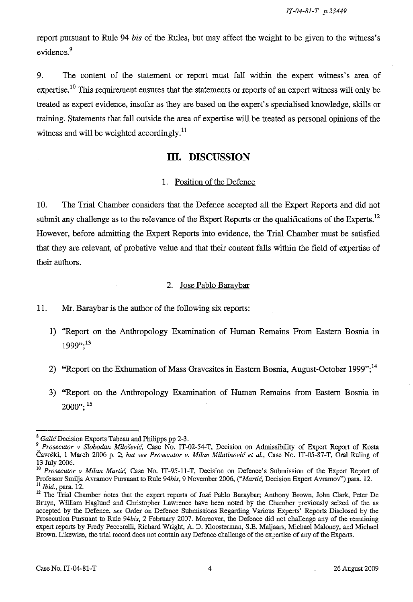report pursuant to Rule 94 *his* of the Rules, but may affect the weight to be given to the witness's evidence.<sup>9</sup>

9. The content of the statement or report must fall within the expert witness's area of expertise.<sup>10</sup> This requirement ensures that the statements or reports of an expert witness will only be treated as expert evidence, insofar as they are based on the expert's specialised knowledge, skills or training. Statements that fall outside the area of expertise will be treated as personal opinions of the witness and will be weighted accordingly.<sup>11</sup>

# **III. DISCUSSION**

#### 1. Position of the Defence

10. The Trial Chamber considers that the Defence accepted all the Expert Reports and did not submit any challenge as to the relevance of the Expert Reports or the qualifications of the Experts.<sup>12</sup> However, before admitting the Expert Reports into evidence, the Trial Chamber must be satisfied that they are relevant, of probative value and that their content falls within the field of expertise of their authors.

#### 2. Jose Pablo Baraybar

11. Mr. Baraybar is the author of the following six reports:

- 1) "Report on the Anthropology Examination of Human Remains From Eastern Bosnia in 1999,,;13
- 2) "Report on the Exhumation of Mass Gravesites in Eastern Bosnia, August-October 1999";<sup>14</sup>
- 3) "Report on the Anthropology Examination of Human Remains from Eastern Bosnia in  $2000$ ":  $15$

<sup>8</sup>*Galie* Decision Experts Tabeau and Philipps pp 2-3.

*<sup>9</sup> Prosecutor v Slobodan Milosevie,* Case No. IT-02-S4-T, Decision on Admissibility of Expert Report of Kosta Cavoski, 1 March 2006 p. 2; *but see Prosecutor v. Milan Milutinovie et aI.,* Case No. IT-OS-87-T, Oral Ruling of 13 July 2006.

<sup>10</sup>*Prosecutor v Milan Martie,* Case No. IT-9S-11-T, Decision on Defence's Submission of the Expert Report of Professor SmiJja Avramov Pursuant to Rule *94bis,* 9 November 2006, *("Martic,* Decision Expert Avramov") para. 12. l! *ibid.,* para. 12.

<sup>&</sup>lt;sup>12</sup> The Trial Chamber notes that the expert reports of José Pablo Baraybar; Anthony Brown, John Clark, Peter De Bruyn, William Haglund and Christopher Lawrence have been noted by the Chamber previously seized of the as accepted by the Defence, *see* Order on Defence Submissions Regarding Various Experts' Reports Disclosed by the Prosecution Pursuant to Rule *94bis,* 2 February 2007. Moreover, the Defence did not challenge any of the remaining expert reports by Fredy Peccerelli, Richard Wright, A. D. Kloosterman, S.E. Maljaars, Michael Maloney, and Michael Brown. Likewise, the trial record does not contain any Defence challenge of the expertise of any of the Experts.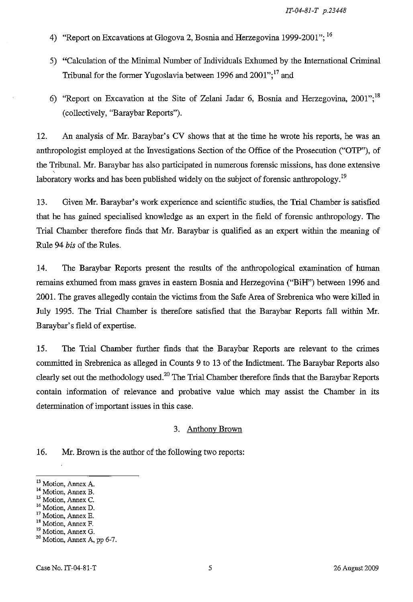- 4) "Report on Excavations at Glogova 2, Bosnia and Herzegovina 1999-2001";  $^{16}$
- 5) "Calculation of the Minimal Number of Individuals Exhumed by the International Criminal Tribunal for the former Yugoslavia between 1996 and  $2001$ ";<sup>17</sup> and
- 6) "Report on Excavation at the Site of Zelani Jadar 6, Bosnia and Herzegovina, 2001";<sup>18</sup> (collectively, "Baraybar Reports").

12. An analysis of Mr. Baraybar's CV shows that at the time he wrote his reports, he was an anthropologist employed at the Investigations Section of the Office of the Prosecution ("OTP"), of the Tribunal. Mr. Baraybar has also participated in numerous forensic missions, has done extensive laboratory works and has been published widely on the subject of forensic anthropology.<sup>19</sup>

13. Given Mr. Baraybar's work experience and scientific studies, the Trial Chamber is satisfied that he has gained specialised knowledge as an expert in the field of forensic anthropology. The Trial Chamber therefore finds that Mr. Baraybar is qualified as an expert within the meaning of Rule 94 *bis* of the Rules.

14. The Baraybar Reports present the results of the anthropological examination of human remains exhumed from mass graves in eastern Bosnia and Herzegovina ("BiH") between 1996 and 2001. The graves allegedly contain the victims from the Safe Area of Srebrenica who were killed in July 1995. The Trial Chamber is therefore satisfied that the Baraybar Reports fall within Mr. Baraybar's field of expertise.

15. The Trial Chamber further finds that the Baraybar Reports are relevant to the crimes committed in Srebrenica as alleged in Counts 9 to 13 of the Indictment. The Baraybar Reports also clearly set out the methodology used.<sup>20</sup> The Trial Chamber therefore finds that the Baraybar Reports contain infonnation of relevance and probative value which may assist the Chamber in its determination of important issues in this case.

#### 3. Anthony Brown

16. Mr. Brown is the author of the following two reports:

<sup>13</sup> Motion, Annex A.

<sup>&</sup>lt;sup>14</sup> Motion, Annex B.

<sup>&</sup>lt;sup>15</sup> Motion, Annex C.

<sup>16</sup> Motion, Annex D.

<sup>&</sup>lt;sup>17</sup> Motion, Annex E.

<sup>&</sup>lt;sup>18</sup> Motion, Annex F.

<sup>&</sup>lt;sup>19</sup> Motion, Annex G.

<sup>20</sup> Motion, Annex A, pp 6-7.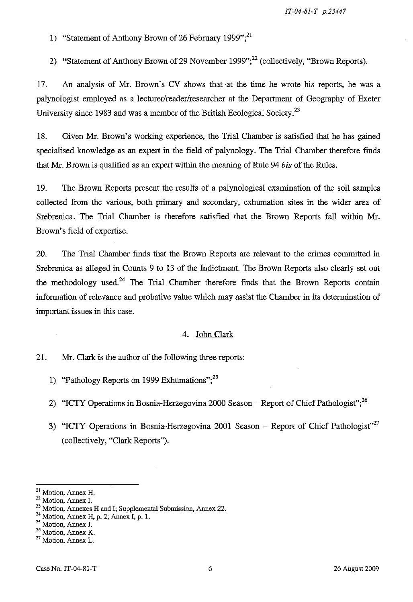*IT-04-SJ-T p.23447* 

1) "Statement of Anthony Brown of 26 February 1999";<sup>21</sup>

2) "Statement of Anthony Brown of 29 November 1999";<sup>22</sup> (collectively, "Brown Reports).

17. An analysis of Mr. Brown's CV shows that at the time he wrote his reports, he was a palynologist employed as a lecturer/reader/researcher at the Department of Geography of Exeter University since 1983 and was a member of the British Ecological Society.<sup>23</sup>

18. Given Mr. Brown's working experience, the Trial Chamber is satisfied that he has gained specialised knowledge as an expert in the field of palynology. The Trial Chamber therefore finds that Mr. Brown is qualified as an expert within the meaning of Rule 94 *bis* of the Rules.

19. The Brown Reports present the results of a palynological examination of the soil samples collected from the various, both primary and secondary, exhumation sites in the wider area of Srebrenica. The Trial Chamber is therefore satisfied that the Brown Reports fall within Mr. Brown's field of expertise.

20. The Trial Chamber finds that the Brown Reports are relevant to the crimes committed in Srebrenica as alleged in Counts 9 to 13 of the Indictment. The Brown Reports also clearly set out the methodology used.<sup>24</sup> The Trial Chamber therefore finds that the Brown Reports contain information of relevance and probative value which may assist the Chamber in its determination of important issues in this case.

#### 4. John Clark

#### 21. Mr. Clark is the author of the following three reports:

- 1) "Pathology Reports on 1999 Exhumations"; $^{25}$
- 2) "ICTY Operations in Bosnia-Herzegovina 2000 Season Report of Chief Pathologist";<sup>26</sup>
- 3) "ICTY Operations in Bosnia-Herzegovina 2001 Season Report of Chief Pathologist"<sup>27</sup> (collectively, "Clark Reports").

<sup>21</sup> Motion, Annex H.

<sup>22</sup> Motion, Annex L

<sup>&</sup>lt;sup>23</sup> Motion, Annexes H and I; Supplemental Submission, Annex 22.

 $24$  Motion, Annex H, p. 2; Annex I, p. 1.

<sup>25</sup> Motion, Annex J.

<sup>&</sup>lt;sup>26</sup> Motion, Annex K.

<sup>27</sup> Motion, Annex L.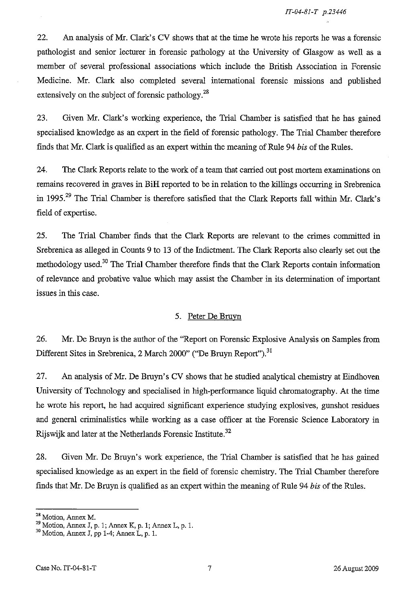22. An analysis of Mr. Clark's CV shows that at the time he wrote his reports he was a forensic pathologist and senior lecturer in forensic pathology at the University of Glasgow as well as a member of several professional associations which include the British Association in Forensic Medicine. Mr. Clark also completed several international forensic missions and published extensively on the subject of forensic pathology.<sup>28</sup>

23. Given Mr. Clark's working experience, the Trial Chamber is satisfied that he has gained specialised knowledge as an expert in the field of forensic pathology. The Trial Chamber therefore finds that Mr. Clark is qualified as an expert within the meaning of Rule 94 *bis* of the Rules.

24. The Clark Reports relate to the work of a team that carried out post mortem examinations on remains recovered in graves in BiH reported to be in relation to the killings occurring in Srebrenica in 1995.<sup>29</sup> The Trial Chamber is therefore satisfied that the Clark Reports fall within Mr. Clark's field of expertise.

25. The Trial Chamber finds that the Clark Reports are relevant to the crimes committed in Srebrenica as alleged in Counts 9 to 13 of the Indictment. The Clark Reports also clearly set out the methodology used.<sup>30</sup> The Trial Chamber therefore finds that the Clark Reports contain information of relevance and probative value which may assist the Chamber in its determination of important issues in this case.

## 5. Peter De Bruvn

26. Mr. De Bruyn is the author of the "Report on Forensic Explosive Analysis on Samples from Different Sites in Srebrenica, 2 March 2000" ("De Bruyn Report").<sup>31</sup>

27. An analysis of Mr. De Bruyn's CV shows that he studied analytical chemistry at Eindhoven University of Technology and specialised in high-performance liquid chromatography. At the time he wrote his report, he had acquired significant experience studying explosives, gunshot residues and general criminalistics while working as a case officer at the Forensic Science Laboratory in Rijswijk and later at the Netherlands Forensic Institute.<sup>32</sup>

28. Given Mr. De Bruyn's work experience, the Trial Chamber is satisfied that he has gained specialised knowledge as an expert in the field of forensic chemistry. The Trial Chamber therefore finds that Mr. De Bruyn is qualified as an expert within the meaning of Rule 94 *bis* of the Rules.

<sup>&</sup>lt;sup>28</sup> Motion, Annex M.

 $\frac{29}{1}$  Motion, Annex J, p. 1; Annex K, p. 1; Annex L, p. 1.

<sup>&</sup>lt;sup>30</sup> Motion, Annex J, pp 1-4; Annex L, p. 1.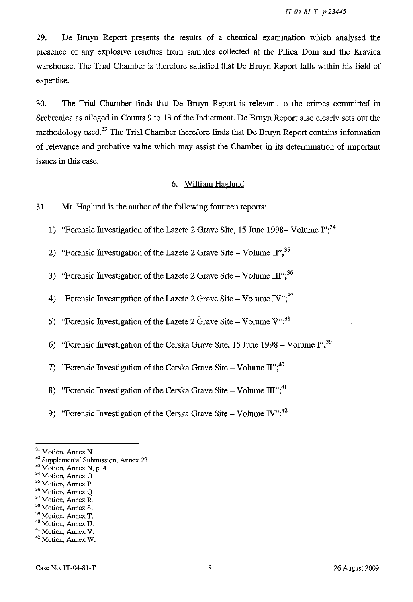29. De Bruyn Report presents the results of a chemical examination which analysed the presence of any explosive residues from samples collected at the Pilica Dom and the Kravica warehouse. The Trial Chamber is therefore satisfied that De Bruyn Report falls within his field of expertise.

30. The Trial Chamber finds that De Bruyn Report is relevant to the crimes committed in Srebrenica as alleged in Counts 9 to 13 of the Indictment. De Bruyn Report also clearly sets out the methodology used.<sup>33</sup> The Trial Chamber therefore finds that De Bruyn Report contains information of relevance and probative value which may assist the Chamber in its determination of important issues in this case.

## 6. William Haglund

31. Mr. Haglund is the author of the following fourteen reports:

- 1) "Forensic Investigation of the Lazete 2 Grave Site, 15 June 1998- Volume  $I$ ";<sup>34</sup>
- 2) "Forensic Investigation of the Lazete 2 Grave Site Volume  $\text{II}^{35}$
- 3) "Forensic Investigation of the Lazete 2 Grave Site Volume  $III$ ";<sup>36</sup>
- 4) "Forensic Investigation of the Lazete 2 Grave Site Volume IV";  $37$
- 5) "Forensic Investigation of the Lazete 2 Grave Site Volume  $V''$ ;<sup>38</sup>
- 6) "Forensic Investigation of the Cerska Grave Site, 15 June 1998 Volume  $I^{\prime\prime}$ ;<sup>39</sup>
- 7) "Forensic Investigation of the Cerska Grave Site Volume  $\text{II}^{3,40}$
- 8) "Forensic Investigation of the Cerska Grave Site Volume  $III$ ";<sup>41</sup>
- 9) "Forensic Investigation of the Cerska Grave Site Volume IV";  $42$

37 Motion, Annex R.

<sup>31</sup> Motion, Annex N.

<sup>32</sup> Supplemental Submission, Annex 23.

<sup>&</sup>lt;sup>33</sup> Motion, Annex N, p. 4.

<sup>34</sup> Motion, Annex O.

<sup>35</sup> Motion, Annex P.

<sup>&</sup>lt;sup>36</sup> Motion, Annex Q.

<sup>38</sup> Motion, Annex S.

<sup>39</sup> Motion, Annex T. 40 Motion, Annex U.

<sup>41</sup> Motion, Annex V.

<sup>42</sup> Motion, Annex W.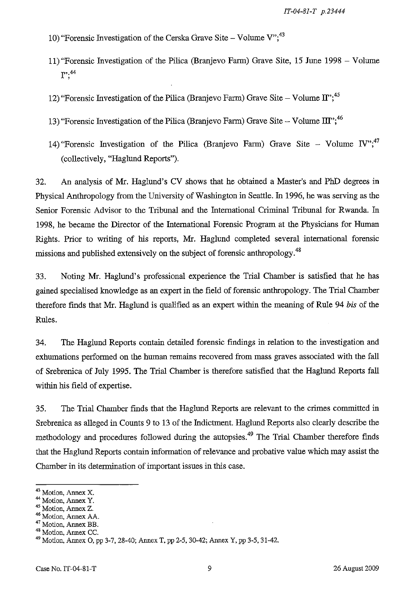- 10) "Forensic Investigation of the Cerska Grave Site Volume  $V''$ ,<sup>43</sup>
- 11) "Forensic Investigation of the Pilica (Branjevo Farm) Grave Site, 15 June 1998 Volume **1";44**
- 12) "Forensic Investigation of the Pilica (Branjevo Farm) Grave Site Volume  $\text{II}^{\cdot\cdot,45}$
- 13) "Forensic Investigation of the Pilica (Branjevo Farm) Grave Site Volume  $III$ ";<sup>46</sup>
- 14) "Forensic Investigation of the Pilica (Branjevo Farm) Grave Site Volume *IV*";<sup>47</sup> (collectively, "Haglund Reports").

32. An analysis of Mr. Haglund's CV shows that he obtained a Master's and PhD degrees in Physical Anthropology from the University of Washington in Seattle. In 1996, he was serving as the Senior Forensic Advisor to the Tribunal and the International Criminal Tribunal for Rwanda. In 1998, he became the Director of the International Forensic Program at the Physicians for Human Rights. Prior to writing of his reports, Mr. Haglund completed several international forensic missions and published extensively on the subject of forensic anthropology.<sup>48</sup>

33. Noting Mr. Haglund's professional experience the Trial Chamber is satisfied that he has gained specialised knowledge as an expert in the field of forensic anthropology. The Trial Chamber therefore finds that Mr. Haglund is qualified as an expert within the meaning of Rule 94 *bis* of the Rules.

34. The Haglund Reports contain detailed forensic findings in relation to the investigation and exhumations performed on the human remains recovered from mass graves associated with the fall of Srebrenica of July 1995. The Trial Chamber is therefore satisfied that the Haglund Reports fall within his field of expertise.

35. The Trial Chamber finds that the Haglund Reports are relevant to the crimes committed in Srebrenica as alleged in Counts 9 to 13 of the Indictment. Haglund Reports also clearly describe the methodology and procedures followed during the autopsies.<sup>49</sup> The Trial Chamber therefore finds that the Haglund Reports contain information of relevance and probative value which may assist the Chamber in its determination of important issues in this case.

<sup>43</sup> Motion, Annex X.

<sup>&</sup>lt;sup>44</sup> Motion, Annex Y.

<sup>45</sup> Motion, Annex z.

<sup>46</sup> Motion, Annex AA.

<sup>47</sup> Motion, Annex BE.

<sup>48</sup> Motion, Annex CC.

<sup>49</sup> Motion, Annex 0, pp 3-7, 28-40; Annex T, pp 2-5, 30-42; Annex Y, pp 3-5, 31-42.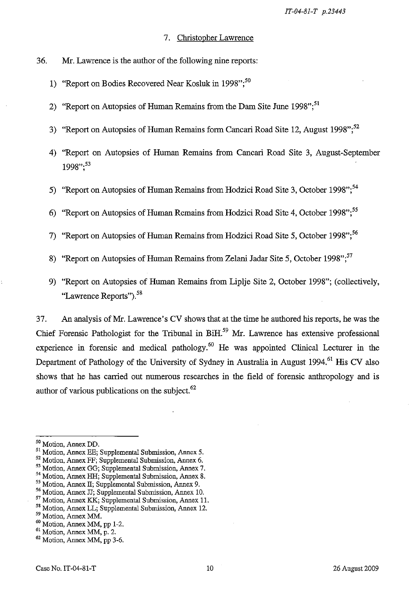- 7. Christopher Lawrence
- 36. Mr. Lawrence is the author of the following nine reports:
	- 1) "Report on Bodies Recovered Near Kosluk in 1998";<sup>50</sup>
	- 2) "Report on Autopsies of Human Remains from the Dam Site June 1998";<sup>51</sup>
	- 3) "Report on Autopsies of Human Remains form Cancari Road Site 12, August 1998";  $52$
	- 4) "Report on Autopsies of Human Remains from Cancari Road Site 3, August-September 1998":<sup>53</sup>
	- 5) "Report on Autopsies of Human Remains from Hodzici Road Site 3, October 1998";<sup>54</sup>
	- 6) "Report on Autopsies of Human Remains from Hodzici Road Site 4, October 1998";<sup>55</sup>
	- 7) "Report on Autopsies of Human Remains from Hodzici Road Site 5, October 1998";<sup>56</sup>
	- 8) "Report on Autopsies of Human Remains from Zelani Jadar Site 5, October 1998";<sup>57</sup>
	- 9) "Report on Autopsies of Human Remains from Liplje Site 2, October 1998"; (collectively, "Lawrence Reports").<sup>58</sup>

37. An analysis of Mr. Lawrence's CV shows that at the time he authored his reports, he was the Chief Forensic Pathologist for the Tribunal in BiH.<sup>59</sup> Mr. Lawrence has extensive professional experience in forensic and medical pathology.<sup>60</sup> He was appointed Clinical Lecturer in the Department of Pathology of the University of Sydney in Australia in August 1994.<sup>61</sup> His CV also shows that he has carried out numerous researches in the field of forensic anthropology and is author of various publications on the subject. $62$ 

<sup>50</sup> Motion, Annex DD.

<sup>51</sup> Motion, Annex EE; Supplemental Submission, Annex 5.

<sup>52</sup> Motion, Annex FF; Supplemental Submission, Annex 6.

<sup>53</sup> Motion, Annex GG; Supplemental Submission, Annex 7.

<sup>54</sup> Motion, Annex HH; Supplemental Submission, Annex 8.

<sup>55</sup> Motion, Annex II; Supplemental Submission, Annex 9.

<sup>56</sup> Motion, Annex JJ; Supplemental Submission, Annex 10.

<sup>57</sup>Motion, Annex KK; Supplemental Submission, Annex II.

<sup>58</sup> Motion, Annex LL; Supplemental Submission, Annex 12.

<sup>&</sup>lt;sup>59</sup> Motion, Annex MM.

<sup>60</sup> Motion, Annex MM, pp 1-2.

<sup>61</sup> Motion, Annex MM, p. 2.

<sup>62</sup> Motion, Annex MM, pp 3-6.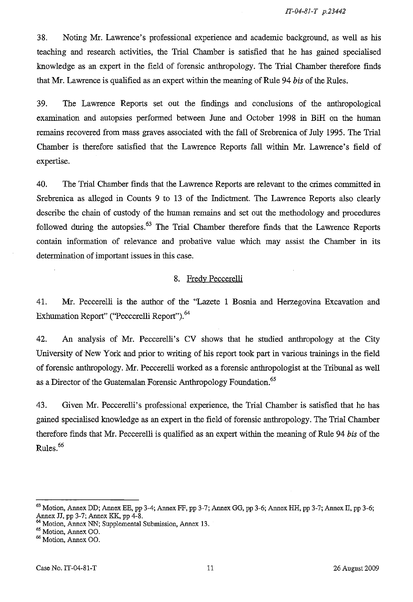38. Noting Mr. Lawrence's professional experience and academic background, as well as his teaching and research activities, the Trial Chamber is satisfied that he has gained specialised knowledge as an expert in the field of forensic anthropology. The Trial Chamber therefore finds that Mr. Lawrence is qualified as an expert within the meaning of Rule 94 *his* of the Rules.

39. The Lawrence Reports set out the findings and conclusions of the anthropological examination and autopsies performed between June and October 1998 in BiH on the human remains recovered from mass graves associated with the fall of Srebrenica of July 1995. The Trial Chamber is therefore satisfied that the Lawrence Reports fall within Mr. Lawrence's field of expertise.

40. The Trial Chamber fmds that the Lawrence Reports are relevant to the crimes committed in Srebrenica as alleged in Counts 9 to 13 of the Indictment. The Lawrence Reports also clearly describe the chain of custody of the human remains and set out the methodology and procedures followed during the autopsies. $63$  The Trial Chamber therefore finds that the Lawrence Reports contain information of relevance and probative value which may assist the Chamber in its determination of important issues in this case.

#### 8. Fredy Peccerelli

41. Mr. Peccerelli is the author of the "Lazete 1 Bosnia and Herzegovina Excavation and Exhumation Report" ("Peccerelli Report").<sup>64</sup>

42. An analysis of Mr. Peccerelli's CV shows that he studied anthropology at the City University of New York and prior to writing of his report took part in various trainings in the field of forensic anthropology. Mr. Peccerelli worked as a forensic anthropologist at the Tribunal as well as a Director of the Guatemalan Forensic Anthropology Foundation.<sup>65</sup>

43. Given Mr. Peccerelli's professional experience, the Trial Chamber is satisfied that he has gained specialised knowledge as an expert in the field of forensic anthropology. The Trial Chamber therefore finds that Mr. Peccerelli is qualified as an expert within the meaning of Rule 94 *his* of the Rules.<sup>66</sup>

<sup>65</sup> Motion, Annex OO.

<sup>63</sup> Motion, Annex DD; Annex EE, pp 3-4; Annex FF, pp 3-7; Annex GG, pp 3-6; Annex HH, pp 3-7; Annex II, pp 3-6; Annex JJ, pp 3-7; Annex KK, pp 4-8.

<sup>&</sup>lt;sup>04</sup> Motion, Annex NN; Supplemental Submission, Annex 13.

<sup>66</sup> Motion, Annex 00.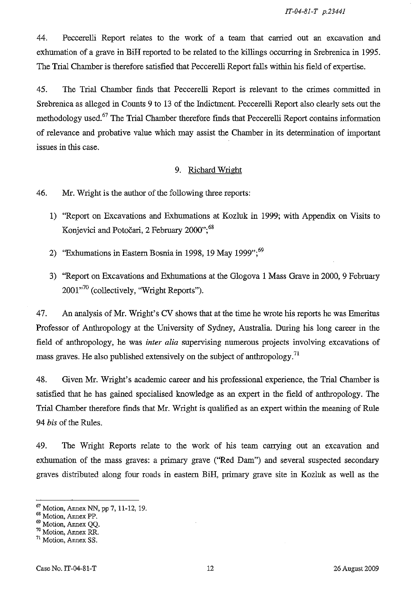*IT-04-81-T p.23441* 

44. Peccerelli Report relates to the work of a team that carried out an excavation and exhumation of a grave in BiH reported to be related to the killings occurring in Srebrenica in 1995. The Trial Chamber is therefore satisfied that Peccerelli Report falls within his field of expertise.

45. The Trial Chamber finds that Peccerelli Report is relevant to the crimes committed in Srebrenica as alleged in Counts 9 to 13 of the Indictment. Peccerelli Report also clearly sets out the methodology used.67 The Trial Chamber therefore finds that Peccerelli Report contains information of relevance and probative value which may assist the Chamber in its determination of important issues in this case.

## 9. Richard Wright

46. Mr. Wright is the author of the following three reports:

- 1) "Report on Excavations and Exhumations at Kozluk in 1999; with Appendix on Visits to Konjevici and Potočari, 2 February 2000";<sup>68</sup>
- 2) "Exhumations in Eastern Bosnia in 1998, 19 May 1999"; $^{69}$
- 3) "Report on Excavations and Exhumations at the Glogova 1 Mass Grave in 2000, 9 February  $2001^{70}$  (collectively, "Wright Reports").

47. An analysis of Mr. Wright's CV shows that at the time he wrote his reports he was Emeritus Professor of Anthropology at the University of Sydney, Australia. During his long career in the field of anthropology, he was *inter alia* supervising numerous projects involving excavations of mass graves. He also published extensively on the subject of anthropology.<sup>71</sup>

48. Given Mr. Wright's academic career and his professional experience, the Trial Chamber is satisfied that he has gained specialised knowledge as an expert in the field of anthropology. The Trial Chamber therefore finds that Mr. Wright is qualified as an expert within the meaning of Rule *94 his* of the Rules.

49. The Wright Reports relate to the work of his team carrying out an excavation and exhumation of the mass graves: a primary grave ("Red Dam") and several suspected secondary graves distributed along four roads in eastern BiH, primary grave site in Kozluk as well as the

<sup>67</sup> Motion, Annex NN, pp 7,11-12,19.

<sup>68</sup> Motion, Annex PP.

<sup>69</sup> Motion, Annex QQ.

<sup>70</sup> Motion, Annex RR.

<sup>&</sup>lt;sup>71</sup> Motion, Annex SS.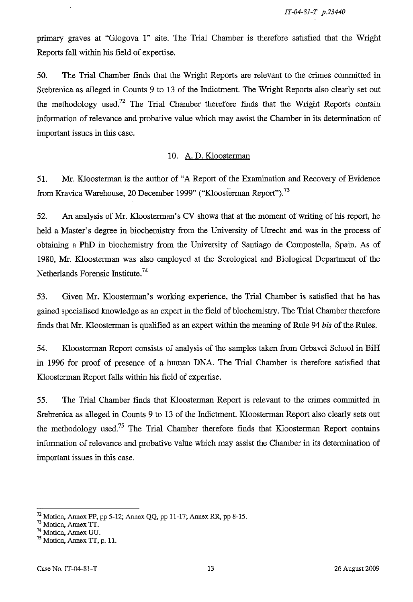primary graves at "Glogova I" site. The Trial Chamber is therefore satisfied that the Wright Reports fall within his field of expertise.

50. The Trial Chamber finds that the Wright Reports are relevant to the crimes committed in Srebrenica as alleged in Counts 9 to 13 of the Indictment. The Wright Reports also clearly set out the methodology used.<sup>72</sup> The Trial Chamber therefore finds that the Wright Reports contain information of relevance and probative value which may assist the Chamber in its determination of important issues in this case.

#### 10. A. D. Kloosterman

51. Mr. Kloosterman is the author of "A Report of the Examination and Recovery of Evidence from Kravica Warehouse, 20 December 1999" ("Kloosterman Report").<sup>73</sup>

52. An analysis of Mr. Kloosterman's CV shows that at the moment of writing of his report, he held a Master's degree in biochemistry from the University of Utrecht and was in the process of obtaining a PhD in biochemistry from the University of Santiago de Compostella, Spain. As of 1980, Mr. Kloosterman was also employed at the Serological and Biological Department of the Netherlands Forensic Institute.<sup>74</sup>

53. Given Mr. Kloosterman's working experience, the Trial Chamber is satisfied that he has gained specialised knowledge as an expert in the field of biochemistry. The Trial Chamber therefore finds that Mr. Kloosterman is qualified as an expert within the meaning of Rule 94 bis of the Rules.

54. Kloosterman Report consists of analysis of the samples taken from Grbavci School in BiH in 1996 for proof of presence of a human DNA. The Trial Chamber is therefore satisfied that Kloosterman Report falls within his field of expertise.

55. The Trial Chamber finds that Kloosterman Report is relevant to the crimes committed in Srebrenica as alleged in Counts 9 to 13 of the Indictment. Kloosterman Report also clearly sets out the methodology used.<sup>75</sup> The Trial Chamber therefore finds that Kloosterman Report contains information of relevance and probative value which may assist the Chamber in its determination of important issues in this case.

 $^{72}$  Motion, Annex PP, pp 5-12; Annex QQ, pp 11-17; Annex RR, pp 8-15.

<sup>&</sup>lt;sup>73</sup> Motion, Annex TT.

<sup>74</sup> Motion, Annex UU.

 $75$  Motion, Annex TT, p. 11.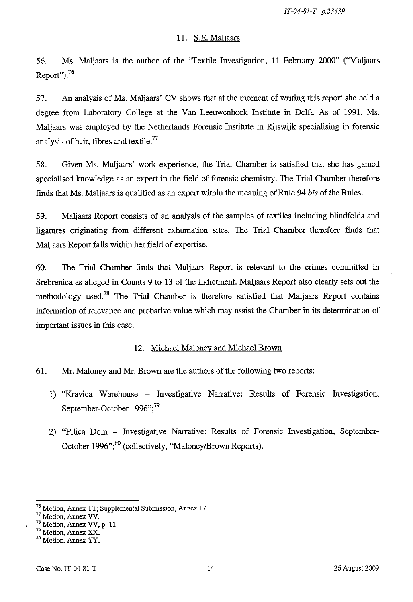## 11. S.E. Maljaars

56. Ms. Maljaars is the author of the "Textile Investigation, 11 February 2000" ("Maljaars Report").<sup>76</sup>

57. An analysis of Ms. Maljaars' CV shows that at the moment of writing this report she held a degree from Laboratory College at the Van Leeuwenhoek Institute in Delft. As of 1991, Ms. Maljaars was employed by the Netherlands Forensic Institute in Rijswijk specialising in forensic analysis of hair, fibres and textile.<sup>77</sup>

58. Given Ms. Maljaars' work experience, the Trial Chamber is satisfied that she has gained specialised knowledge as an expert in the field of forensic chemistry. The Trial Chamber therefore finds that Ms. Maljaars is qualified as an expert within the meaning of Rule 94 *bis* of the Rules.

59. Maljaars Report consists of an analysis of the samples of textiles including blindfolds and ligatures originating from different exhumation sites. The Trial Chamber therefore finds that Maljaars Report falls within her field of expertise.

60. The Trial Chamber finds that Maljaars Report is relevant to the crimes committed in Srebrenica as alleged in Counts 9 to 13 of the Indictment. Maljaars Report also clearly sets out the methodology used.<sup>78</sup> The Trial Chamber is therefore satisfied that Maljaars Report contains information of relevance and probative value which may assist the Chamber in its determination of important issues in this case.

#### 12. Michael Maloney and Michael Brown

- 61. Mr. Maloney and Mr. Brown are the authors of the following two reports:
	- 1) "Kravica Warehouse Investigative Narrative: Results of Forensic Investigation, September-October 1996";<sup>79</sup>
	- 2) "Pilica Dom Investigative Narrative: Results of Forensic Investigation, September-October 1996";<sup>80</sup> (collectively, "Maloney/Brown Reports).

<sup>76</sup> Motion, Annex IT; Supplemental Submission, Annex 17.

 $''$  Motion, Annex VV.

 $78$  Motion, Annex VV, p. 11.

<sup>79</sup> Motion, Annex XX.

**<sup>80</sup> Motion, Annex YY.**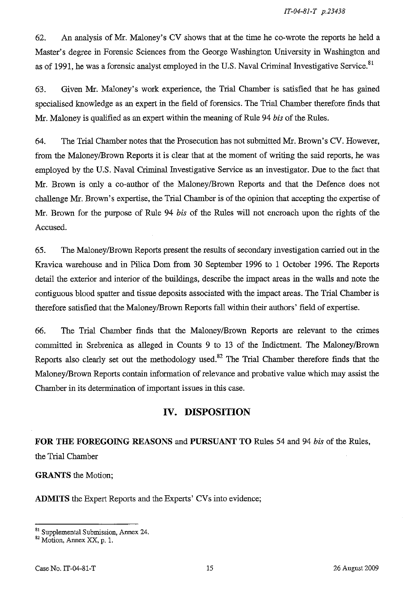62. An analysis of Mr. Maloney's CV shows that at the time he co-wrote the reports he held a Master's degree in Forensic Sciences from the George Washington University in Washington and as of 1991, he was a forensic analyst employed in the U.S. Naval Criminal Investigative Service.<sup>81</sup>

63. Given Mr. Maloney's work experience, the Trial Chamber is satisfied that he has gained specialised knowledge as an expert in the field of forensics. The Trial Chamber therefore finds that Mr. Maloney is qualified as an expert within the meaning of Rule 94 *his* of the Rules.

64. The Trial Chamber notes that the Prosecution has not submitted Mr. Brown's CV. However, from the Maloney/Brown Reports it is clear that at the moment of writing the said reports, he was employed by the U.S. Naval Criminal Investigative Service as an investigator. Due to the fact that Mr. Brown is only a co-author of the Maloney/Brown Reports and that the Defence does not challenge Mr. Brown's expertise, the Trial Chamber is of the opinion that accepting the expertise of Mr. Brown for the purpose of Rule 94 *his* of the Rules will not encroach upon the rights of the Accused.

65. The Maloney/Brown Reports present the results of secondary investigation carried out in the Kravica warehouse and in Pilica Dom from 30 September 1996 to 1 October 1996. The Reports detail the exterior and interior of the buildings, describe the impact areas in the walls and note the contiguous blood spatter and tissue deposits associated with the impact areas. The Trial Chamber is therefore satisfied that the Maloney/Brown Reports fall within their authors' field of expertise.

66. The Trial Chamber finds that the Maloney/Brown Reports are relevant to the crimes committed in Srebrenica as alleged in Counts 9 to 13 of the Indictment. The Maloney/Brown Reports also clearly set out the methodology used. $82$  The Trial Chamber therefore finds that the Maloney/Brown Reports contain information of relevance and probative value which may assist the Chamber in its determination of important issues in this case.

# **IV. DISPOSITION**

# **FOR THE FOREGOING REASONS and PURSUANT TO** Rules 54 and 94 *his* of the Rules, the Trial Chamber

**GRANTS** the Motion;

ADMITS the Expert Reports and the Experts' CVs into evidence;

<sup>&</sup>lt;sup>81</sup> Supplemental Submission, Annex 24.

<sup>&</sup>lt;sup>82</sup> Motion, Annex XX, p. 1.